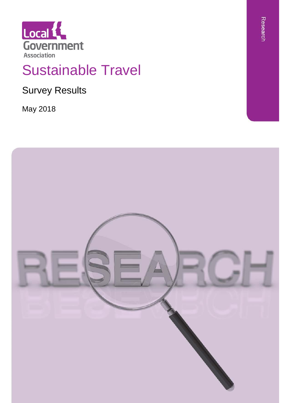

# Sustainable Travel

Survey Results

May 2018

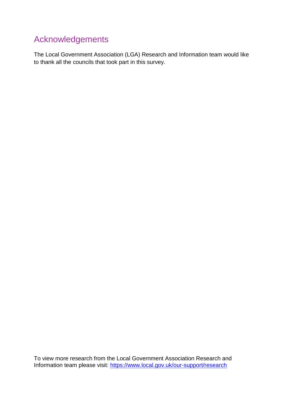### Acknowledgements

The Local Government Association (LGA) Research and Information team would like to thank all the councils that took part in this survey.

To view more research from the Local Government Association Research and Information team please visit:<https://www.local.gov.uk/our-support/research>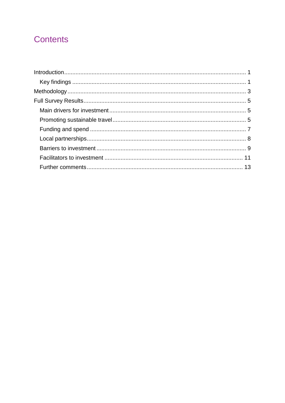### Contents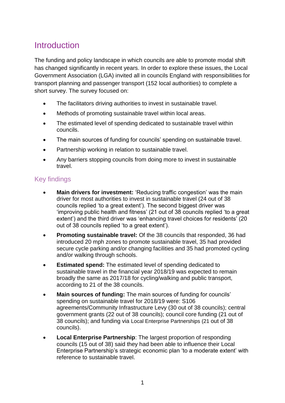### <span id="page-3-0"></span>**Introduction**

The funding and policy landscape in which councils are able to promote modal shift has changed significantly in recent years. In order to explore these issues, the Local Government Association (LGA) invited all in councils England with responsibilities for transport planning and passenger transport (152 local authorities) to complete a short survey. The survey focused on:

- The facilitators driving authorities to invest in sustainable travel.
- Methods of promoting sustainable travel within local areas.
- The estimated level of spending dedicated to sustainable travel within councils.
- The main sources of funding for councils' spending on sustainable travel.
- Partnership working in relation to sustainable travel.
- Any barriers stopping councils from doing more to invest in sustainable travel.

#### <span id="page-3-1"></span>Key findings

- **Main drivers for investment:** 'Reducing traffic congestion' was the main driver for most authorities to invest in sustainable travel (24 out of 38 councils replied 'to a great extent'). The second biggest driver was 'improving public health and fitness' (21 out of 38 councils replied 'to a great extent') and the third driver was 'enhancing travel choices for residents' (20 out of 38 councils replied 'to a great extent').
- **Promoting sustainable travel:** Of the 38 councils that responded, 36 had introduced 20 mph zones to promote sustainable travel, 35 had provided secure cycle parking and/or changing facilities and 35 had promoted cycling and/or walking through schools.
- **Estimated spend:** The estimated level of spending dedicated to sustainable travel in the financial year 2018/19 was expected to remain broadly the same as 2017/18 for cycling/walking and public transport, according to 21 of the 38 councils.
- **Main sources of funding:** The main sources of funding for councils' spending on sustainable travel for 2018/19 were: S106 agreements/Community Infrastructure Levy (30 out of 38 councils); central government grants (22 out of 38 councils); council core funding (21 out of 38 councils); and funding via Local Enterprise Partnerships (21 out of 38 councils).
- **Local Enterprise Partnership**: The largest proportion of responding councils (15 out of 38) said they had been able to influence their Local Enterprise Partnership's strategic economic plan 'to a moderate extent' with reference to sustainable travel.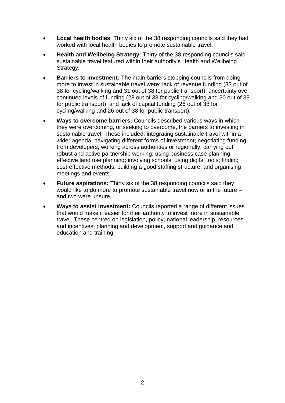- **Local health bodies**: Thirty six of the 38 responding councils said they had worked with local health bodies to promote sustainable travel.
- **Health and Wellbeing Strategy:** Thirty of the 38 responding councils said sustainable travel featured within their authority's Health and Wellbeing Strategy.
- **Barriers to investment:** The main barriers stopping councils from doing more to invest in sustainable travel were: lack of revenue funding (33 out of 38 for cycling/walking and 31 out of 38 for public transport); uncertainty over continued levels of funding (28 out of 38 for cycling/walking and 30 out of 38 for public transport); and lack of capital funding (26 out of 38 for cycling/walking and 26 out of 38 for public transport).
- **Ways to overcome barriers:** Councils described various ways in which they were overcoming, or seeking to overcome, the barriers to investing in sustainable travel. These included: integrating sustainable travel within a wider agenda; navigating different forms of investment; negotiating funding from developers; working across authorities or regionally; carrying out robust and active partnership working; using business case planning; effective land use planning; involving schools; using digital tools; finding cost-effective methods; building a good staffing structure; and organising meetings and events.
- **Future aspirations:** Thirty six of the 38 responding councils said they would like to do more to promote sustainable travel now or in the future – and two were unsure.
- **Ways to assist investment:** Councils reported a range of different issues that would make it easier for their authority to invest more in sustainable travel. These centred on legislation, policy, national leadership, resources and incentives, planning and development, support and guidance and education and training.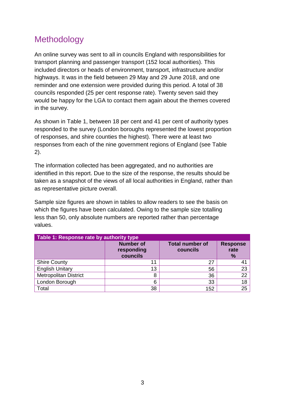### <span id="page-5-0"></span>**Methodology**

An online survey was sent to all in councils England with responsibilities for transport planning and passenger transport (152 local authorities). This included directors or heads of environment, transport, infrastructure and/or highways. It was in the field between 29 May and 29 June 2018, and one reminder and one extension were provided during this period. A total of 38 councils responded (25 per cent response rate). Twenty seven said they would be happy for the LGA to contact them again about the themes covered in the survey.

As shown in [Table 1,](#page-5-1) between 18 per cent and 41 per cent of authority types responded to the survey (London boroughs represented the lowest proportion of responses, and shire counties the highest). There were at least two responses from each of the nine government regions of England (see [Table](#page-6-0)  [2\)](#page-6-0).

The information collected has been aggregated, and no authorities are identified in this report. Due to the size of the response, the results should be taken as a snapshot of the views of all local authorities in England, rather than as representative picture overall.

Sample size figures are shown in tables to allow readers to see the basis on which the figures have been calculated. Owing to the sample size totalling less than 50, only absolute numbers are reported rather than percentage values.

<span id="page-5-1"></span>

| Table 1: Response rate by authority type |                                            |                                    |                                          |  |
|------------------------------------------|--------------------------------------------|------------------------------------|------------------------------------------|--|
|                                          | <b>Number of</b><br>responding<br>councils | <b>Total number of</b><br>councils | <b>Response</b><br>rate<br>$\frac{9}{6}$ |  |
| <b>Shire County</b>                      | ∣ 1                                        | 27                                 | 41                                       |  |
| <b>English Unitary</b>                   | 13                                         | 56                                 | 23                                       |  |
| <b>Metropolitan District</b>             | 8                                          | 36                                 | 22                                       |  |
| London Borough                           | 6                                          | 33                                 | 18                                       |  |
| Total                                    | 38                                         | 152                                | 25                                       |  |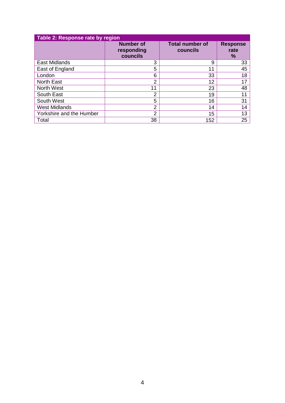<span id="page-6-0"></span>

| Table 2: Response rate by region |                                            |                                    |                              |  |
|----------------------------------|--------------------------------------------|------------------------------------|------------------------------|--|
|                                  | <b>Number of</b><br>responding<br>councils | <b>Total number of</b><br>councils | <b>Response</b><br>rate<br>% |  |
| <b>East Midlands</b>             | 3                                          | 9                                  | 33                           |  |
| East of England                  | 5                                          | 11                                 | 45                           |  |
| London                           | 6                                          | 33                                 | 18                           |  |
| <b>North East</b>                | 2                                          | 12                                 | 17                           |  |
| <b>North West</b>                | 11                                         | 23                                 | 48                           |  |
| South East                       | $\overline{2}$                             | 19                                 | 11                           |  |
| South West                       | 5                                          | 16                                 | 31                           |  |
| <b>West Midlands</b>             | $\overline{2}$                             | 14                                 | 14                           |  |
| Yorkshire and the Humber         | $\mathcal{P}$                              | 15                                 | 13                           |  |
| Total                            | 38                                         | 152                                | 25                           |  |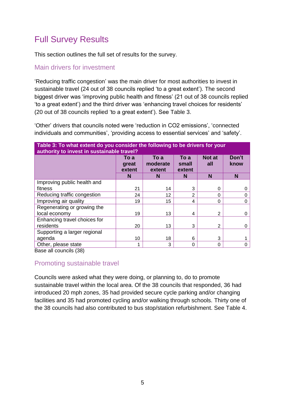### <span id="page-7-0"></span>Full Survey Results

This section outlines the full set of results for the survey.

#### <span id="page-7-1"></span>Main drivers for investment

'Reducing traffic congestion' was the main driver for most authorities to invest in sustainable travel (24 out of 38 councils replied 'to a great extent'). The second biggest driver was 'improving public health and fitness' (21 out of 38 councils replied 'to a great extent') and the third driver was 'enhancing travel choices for residents' (20 out of 38 councils replied 'to a great extent'). See [Table 3.](#page-7-3)

'Other' drivers that councils noted were 'reduction in CO2 emissions', 'connected individuals and communities', 'providing access to essential services' and 'safety'.

<span id="page-7-3"></span>

| Table 3: To what extent do you consider the following to be drivers for your<br>authority to invest in sustainable travel? |                         |                            |                         |                      |               |
|----------------------------------------------------------------------------------------------------------------------------|-------------------------|----------------------------|-------------------------|----------------------|---------------|
|                                                                                                                            | To a<br>great<br>extent | To a<br>moderate<br>extent | To a<br>small<br>extent | <b>Not at</b><br>all | Don't<br>know |
|                                                                                                                            | N                       | N                          | N                       | N                    | N             |
| Improving public health and                                                                                                |                         |                            |                         |                      |               |
| fitness                                                                                                                    | 21                      | 14                         | 3                       | 0                    |               |
| Reducing traffic congestion                                                                                                | 24                      | 12                         | 2                       | 0                    | O             |
| Improving air quality                                                                                                      | 19                      | 15                         | 4                       | 0                    | $\Omega$      |
| Regenerating or growing the                                                                                                |                         |                            |                         |                      |               |
| local economy                                                                                                              | 19                      | 13                         | 4                       | 2                    | $\Omega$      |
| Enhancing travel choices for                                                                                               |                         |                            |                         |                      |               |
| residents                                                                                                                  | 20                      | 13                         | 3                       | 2                    | $\Omega$      |
| Supporting a larger regional                                                                                               |                         |                            |                         |                      |               |
| agenda                                                                                                                     | 10                      | 18                         | 6                       | 3                    |               |
| Other, please state                                                                                                        | 1                       | 3                          | $\Omega$                | 0                    | 0             |

Base all councils (38)

#### <span id="page-7-2"></span>Promoting sustainable travel

Councils were asked what they were doing, or planning to, do to promote sustainable travel within the local area. Of the 38 councils that responded, 36 had introduced 20 mph zones, 35 had provided secure cycle parking and/or changing facilities and 35 had promoted cycling and/or walking through schools. Thirty one of the 38 councils had also contributed to bus stop/station refurbishment. See [Table 4.](#page-8-0)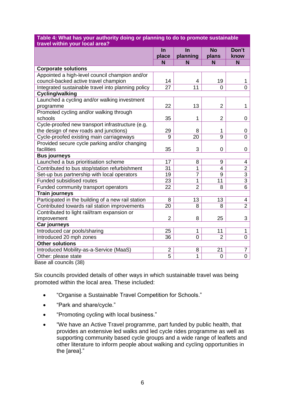| travel within your local area?                     |                |                |                |                |
|----------------------------------------------------|----------------|----------------|----------------|----------------|
|                                                    | In             | In             | <b>No</b>      | Don't          |
|                                                    | place          | planning       | plans          | know           |
|                                                    | N              | N              | N              | N              |
| <b>Corporate solutions</b>                         |                |                |                |                |
| Appointed a high-level council champion and/or     |                |                |                |                |
| council-backed active travel champion              | 14             | 4              | 19             | 1              |
| Integrated sustainable travel into planning policy | 27             | 11             | $\Omega$       | $\overline{0}$ |
| <b>Cycling/walking</b>                             |                |                |                |                |
| Launched a cycling and/or walking investment       |                |                |                |                |
| programme                                          | 22             | 13             | $\overline{2}$ | 1              |
| Promoted cycling and/or walking through            |                |                |                |                |
| schools                                            | 35             | 1              | $\overline{2}$ | 0              |
| Cycle-proofed new transport infrastructure (e.g.   |                |                |                |                |
| the design of new roads and junctions)             | 29             | 8              | 1              | 0              |
| Cycle-proofed existing main carriageways           | 9              | 20             | 9              | 0              |
| Provided secure cycle parking and/or changing      |                |                |                |                |
| facilities                                         | 35             | 3              | $\mathbf 0$    | 0              |
| <b>Bus journeys</b>                                |                |                |                |                |
| Launched a bus prioritisation scheme               | 17             | 8              | 9              | 4              |
| Contributed to bus stop/station refurbishment      | 31             | 1              | 4              | $\overline{2}$ |
| Set-up bus partnership with local operators        | 19             | $\overline{7}$ | 9              | $\overline{3}$ |
| <b>Funded subsidised routes</b>                    | 23             | 1              | 11             | $\overline{3}$ |
| Funded community transport operators               | 22             | $\overline{2}$ | 8              | 6              |
| <b>Train journeys</b>                              |                |                |                |                |
| Participated in the building of a new rail station | 8              | 13             | 13             | 4              |
| Contributed towards rail station improvements      | 20             | 8              | 8              | $\overline{2}$ |
| Contributed to light rail/tram expansion or        |                |                |                |                |
| improvement                                        | $\overline{2}$ | 8              | 25             | 3              |
| Car journeys                                       |                |                |                |                |
| Introduced car pools/sharing                       | 25             | 1              | 11             | 1              |
| Introduced 20 mph zones                            | 36             | $\overline{0}$ | $\overline{2}$ | $\overline{0}$ |
| <b>Other solutions</b>                             |                |                |                |                |
| Introduced Mobility-as-a-Service (MaaS)            | $\overline{2}$ | 8              | 21             | $\overline{7}$ |
| Other: please state                                | $\overline{5}$ | 1              | 0              | $\overline{0}$ |
| Base all councils (38)                             |                |                |                |                |

## <span id="page-8-0"></span>**Table 4: What has your authority doing or planning to do to promote sustainable**

Six councils provided details of other ways in which sustainable travel was being promoted within the local area. These included:

- "Organise a Sustainable Travel Competition for Schools."
- "Park and share/cycle."
- "Promoting cycling with local business."
- "We have an Active Travel programme, part funded by public health, that provides an extensive led walks and led cycle rides programme as well as supporting community based cycle groups and a wide range of leaflets and other literature to inform people about walking and cycling opportunities in the [area]."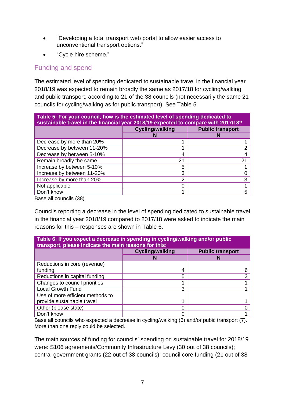- "Developing a total transport web portal to allow easier access to unconventional transport options."
- "Cycle hire scheme."

#### <span id="page-9-0"></span>Funding and spend

The estimated level of spending dedicated to sustainable travel in the financial year 2018/19 was expected to remain broadly the same as 2017/18 for cycling/walking and public transport, according to 21 of the 38 councils (not necessarily the same 21 councils for cycling/walking as for public transport). See [Table 5.](#page-9-1)

<span id="page-9-1"></span>

| Table 5: For your council, how is the estimated level of spending dedicated to<br>sustainable travel in the financial year 2018/19 expected to compare with 2017/18? |                        |                         |  |
|----------------------------------------------------------------------------------------------------------------------------------------------------------------------|------------------------|-------------------------|--|
|                                                                                                                                                                      | <b>Cycling/walking</b> | <b>Public transport</b> |  |
|                                                                                                                                                                      |                        |                         |  |
| Decrease by more than 20%                                                                                                                                            |                        |                         |  |
| Decrease by between 11-20%                                                                                                                                           |                        | າ                       |  |
| Decrease by between 5-10%                                                                                                                                            | 4                      |                         |  |
| Remain broadly the same                                                                                                                                              | 21                     | 21                      |  |
| Increase by between 5-10%                                                                                                                                            | 5                      |                         |  |
| Increase by between 11-20%                                                                                                                                           | 3                      |                         |  |
| Increase by more than 20%                                                                                                                                            | າ                      | 3                       |  |
| Not applicable                                                                                                                                                       |                        |                         |  |
| Don't know                                                                                                                                                           |                        | 5                       |  |
| Race all councile (38)                                                                                                                                               |                        |                         |  |

Base all councils (38)

Councils reporting a decrease in the level of spending dedicated to sustainable travel in the financial year 2018/19 compared to 2017/18 were asked to indicate the main reasons for this – responses are shown in [Table 6.](#page-9-2)

<span id="page-9-2"></span>

| Table 6: If you expect a decrease in spending in cycling/walking and/or public<br>transport, please indicate the main reasons for this: |                        |                         |  |
|-----------------------------------------------------------------------------------------------------------------------------------------|------------------------|-------------------------|--|
|                                                                                                                                         | <b>Cycling/walking</b> | <b>Public transport</b> |  |
|                                                                                                                                         |                        |                         |  |
| Reductions in core (revenue)                                                                                                            |                        |                         |  |
| funding                                                                                                                                 | 4                      |                         |  |
| Reductions in capital funding                                                                                                           | 5                      |                         |  |
| Changes to council priorities                                                                                                           |                        |                         |  |
| <b>Local Growth Fund</b>                                                                                                                | 3                      |                         |  |
| Use of more efficient methods to                                                                                                        |                        |                         |  |
| provide sustainable travel                                                                                                              |                        |                         |  |
| Other (please state)                                                                                                                    |                        |                         |  |
| Don't know                                                                                                                              |                        |                         |  |

Base all councils who expected a decrease in cycling/walking (6) and/or pubic transport (7). More than one reply could be selected.

The main sources of funding for councils' spending on sustainable travel for 2018/19 were: S106 agreements/Community Infrastructure Levy (30 out of 38 councils); central government grants (22 out of 38 councils); council core funding (21 out of 38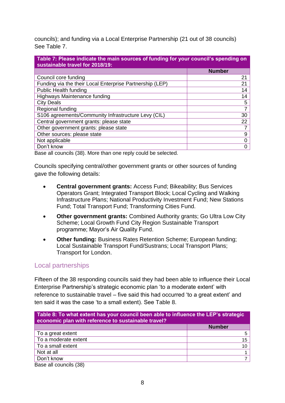councils); and funding via a Local Enterprise Partnership (21 out of 38 councils) See [Table 7.](#page-10-1)

<span id="page-10-1"></span>

| Table 7: Please indicate the main sources of funding for your council's spending on<br>sustainable travel for 2018/19: |               |  |
|------------------------------------------------------------------------------------------------------------------------|---------------|--|
|                                                                                                                        | <b>Number</b> |  |
| Council core funding                                                                                                   | 21            |  |
| Funding via the their Local Enterprise Partnership (LEP)                                                               | 21            |  |
| <b>Public Health funding</b>                                                                                           | 14            |  |
| Highways Maintenance funding                                                                                           | 14            |  |
| <b>City Deals</b>                                                                                                      | 5             |  |
| Regional funding                                                                                                       | 7             |  |
| S106 agreements/Community Infrastructure Levy (CIL)                                                                    | 30            |  |
| Central government grants: please state                                                                                | 22            |  |
| Other government grants: please state                                                                                  |               |  |
| Other sources: please state                                                                                            | 9             |  |
| Not applicable                                                                                                         | 0             |  |
| Don't know                                                                                                             | Ω             |  |

Base all councils (38). More than one reply could be selected.

Councils specifying central/other government grants or other sources of funding gave the following details:

- **Central government grants:** Access Fund; Bikeability; Bus Services Operators Grant; Integrated Transport Block; Local Cycling and Walking Infrastructure Plans; National Productivity Investment Fund; New Stations Fund; Total Transport Fund; Transforming Cities Fund.
- **Other government grants:** Combined Authority grants; Go Ultra Low City Scheme; Local Growth Fund City Region Sustainable Transport programme; Mayor's Air Quality Fund.
- **Other funding:** Business Rates Retention Scheme; European funding; Local Sustainable Transport Fund/Sustrans; Local Transport Plans; Transport for London.

#### <span id="page-10-0"></span>Local partnerships

Fifteen of the 38 responding councils said they had been able to influence their Local Enterprise Partnership's strategic economic plan 'to a moderate extent' with reference to sustainable travel – five said this had occurred 'to a great extent' and ten said it was the case 'to a small extent). See [Table 8.](#page-10-2)

<span id="page-10-2"></span>

| Table 8: To what extent has your council been able to influence the LEP's strategic<br>economic plan with reference to sustainable travel? |               |  |
|--------------------------------------------------------------------------------------------------------------------------------------------|---------------|--|
|                                                                                                                                            | <b>Number</b> |  |
| To a great extent                                                                                                                          | 5             |  |
| To a moderate extent                                                                                                                       | 15            |  |
| To a small extent                                                                                                                          | 10            |  |
| Not at all                                                                                                                                 |               |  |
| Don't know                                                                                                                                 |               |  |
| Base all councils (38)                                                                                                                     |               |  |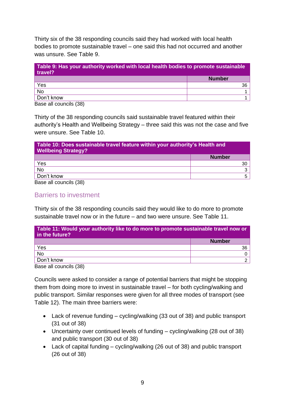Thirty six of the 38 responding councils said they had worked with local health bodies to promote sustainable travel – one said this had not occurred and another was unsure. See [Table 9.](#page-11-1)

<span id="page-11-1"></span>

| Table 9: Has your authority worked with local health bodies to promote sustainable<br>travel? |               |  |
|-----------------------------------------------------------------------------------------------|---------------|--|
|                                                                                               | <b>Number</b> |  |
| Yes                                                                                           | 36            |  |
| <b>No</b>                                                                                     |               |  |
| Don't know                                                                                    |               |  |

Base all councils (38)

Thirty of the 38 responding councils said sustainable travel featured within their authority's Health and Wellbeing Strategy – three said this was not the case and five were unsure. See [Table 10.](#page-11-2)

<span id="page-11-2"></span>

| Table 10: Does sustainable travel feature within your authority's Health and<br><b>Wellbeing Strategy?</b> |               |  |
|------------------------------------------------------------------------------------------------------------|---------------|--|
|                                                                                                            | <b>Number</b> |  |
| Yes                                                                                                        | 30            |  |
| No                                                                                                         |               |  |
| Don't know                                                                                                 |               |  |
| Rose all councile (38)                                                                                     |               |  |

<span id="page-11-0"></span>Base all councils (38)

#### Barriers to investment

Thirty six of the 38 responding councils said they would like to do more to promote sustainable travel now or in the future – and two were unsure. See [Table 11.](#page-11-3)

<span id="page-11-3"></span>

| Table 11: Would your authority like to do more to promote sustainable travel now or<br>in the future? |               |  |
|-------------------------------------------------------------------------------------------------------|---------------|--|
|                                                                                                       | <b>Number</b> |  |
| Yes                                                                                                   | 36            |  |
| <b>No</b>                                                                                             |               |  |
| Don't know                                                                                            |               |  |
| Base all councils (38)                                                                                |               |  |

Councils were asked to consider a range of potential barriers that might be stopping them from doing more to invest in sustainable travel – for both cycling/walking and public transport. Similar responses were given for all three modes of transport (see [Table 12\)](#page-12-0). The main three barriers were:

- Lack of revenue funding cycling/walking (33 out of 38) and public transport (31 out of 38)
- Uncertainty over continued levels of funding cycling/walking (28 out of 38) and public transport (30 out of 38)
- Lack of capital funding cycling/walking (26 out of 38) and public transport (26 out of 38)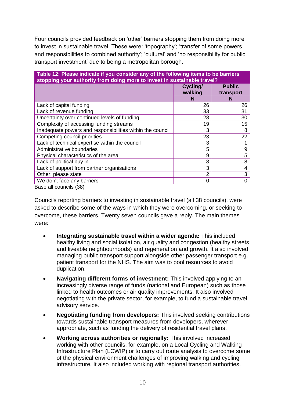Four councils provided feedback on 'other' barriers stopping them from doing more to invest in sustainable travel. These were: 'topography'; 'transfer of some powers and responsibilities to combined authority'; 'cultural' and 'no responsibility for public transport investment' due to being a metropolitan borough.

<span id="page-12-0"></span>

| Table 12: Please indicate if you consider any of the following items to be barriers<br>stopping your authority from doing more to invest in sustainable travel? |                     |                            |  |
|-----------------------------------------------------------------------------------------------------------------------------------------------------------------|---------------------|----------------------------|--|
|                                                                                                                                                                 | Cycling/<br>walking | <b>Public</b><br>transport |  |
|                                                                                                                                                                 | N                   | N                          |  |
| Lack of capital funding                                                                                                                                         | 26                  | 26                         |  |
| Lack of revenue funding                                                                                                                                         | 33                  | 31                         |  |
| Uncertainty over continued levels of funding                                                                                                                    | 28                  | 30                         |  |
| Complexity of accessing funding streams                                                                                                                         | 19                  | 15                         |  |
| Inadequate powers and responsibilities within the council                                                                                                       | 3                   | 8                          |  |
| Competing council priorities                                                                                                                                    | 23                  | 22                         |  |
| Lack of technical expertise within the council                                                                                                                  | 3                   |                            |  |
| Administrative boundaries                                                                                                                                       | 5                   | 9                          |  |
| Physical characteristics of the area                                                                                                                            | 9                   | 5                          |  |
| Lack of political buy in                                                                                                                                        | 8                   | 8                          |  |
| Lack of support from partner organisations                                                                                                                      | 3                   | 4                          |  |
| Other: please state                                                                                                                                             | 2                   | 3                          |  |
| We don't face any barriers                                                                                                                                      | 0                   | 0                          |  |
| Dono oll opunoilo (20)                                                                                                                                          |                     |                            |  |

Base all councils (38)

Councils reporting barriers to investing in sustainable travel (all 38 councils), were asked to describe some of the ways in which they were overcoming, or seeking to overcome, these barriers. Twenty seven councils gave a reply. The main themes were:

- **Integrating sustainable travel within a wider agenda:** This included healthy living and social isolation, air quality and congestion (healthy streets and liveable neighbourhoods) and regeneration and growth. It also involved managing public transport support alongside other passenger transport e.g. patient transport for the NHS. The aim was to pool resources to avoid duplication.
- **Navigating different forms of investment:** This involved applying to an increasingly diverse range of funds (national and European) such as those linked to health outcomes or air quality improvements. It also involved negotiating with the private sector, for example, to fund a sustainable travel advisory service.
- **Negotiating funding from developers:** This involved seeking contributions towards sustainable transport measures from developers, wherever appropriate, such as funding the delivery of residential travel plans.
- **Working across authorities or regionally:** This involved increased working with other councils, for example, on a Local Cycling and Walking Infrastructure Plan (LCWIP) or to carry out route analysis to overcome some of the physical environment challenges of improving walking and cycling infrastructure. It also included working with regional transport authorities.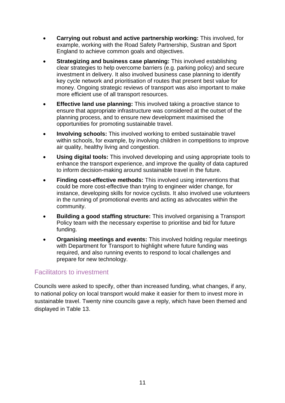- **Carrying out robust and active partnership working:** This involved, for example, working with the Road Safety Partnership, Sustran and Sport England to achieve common goals and objectives.
- **Strategizing and business case planning:** This involved establishing clear strategies to help overcome barriers (e.g. parking policy) and secure investment in delivery. It also involved business case planning to identify key cycle network and prioritisation of routes that present best value for money. Ongoing strategic reviews of transport was also important to make more efficient use of all transport resources.
- **Effective land use planning:** This involved taking a proactive stance to ensure that appropriate infrastructure was considered at the outset of the planning process, and to ensure new development maximised the opportunities for promoting sustainable travel.
- **Involving schools:** This involved working to embed sustainable travel within schools, for example, by involving children in competitions to improve air quality, healthy living and congestion.
- **Using digital tools:** This involved developing and using appropriate tools to enhance the transport experience, and improve the quality of data captured to inform decision-making around sustainable travel in the future.
- **Finding cost-effective methods:** This involved using interventions that could be more cost-effective than trying to engineer wider change, for instance, developing skills for novice cyclists. It also involved use volunteers in the running of promotional events and acting as advocates within the community.
- **Building a good staffing structure:** This involved organising a Transport Policy team with the necessary expertise to prioritise and bid for future funding.
- **Organising meetings and events:** This involved holding regular meetings with Department for Transport to highlight where future funding was required, and also running events to respond to local challenges and prepare for new technology.

#### <span id="page-13-0"></span>Facilitators to investment

Councils were asked to specify, other than increased funding, what changes, if any, to national policy on local transport would make it easier for them to invest more in sustainable travel. Twenty nine councils gave a reply, which have been themed and displayed in [Table 13.](#page-14-0)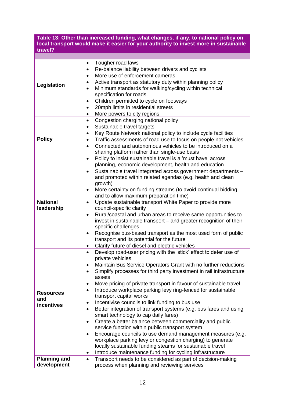<span id="page-14-0"></span>**Table 13: Other than increased funding, what changes, if any, to national policy on local transport would make it easier for your authority to invest more in sustainable travel?**

| Legislation         | Tougher road laws<br>٠                                                            |
|---------------------|-----------------------------------------------------------------------------------|
|                     | Re-balance liability between drivers and cyclists<br>٠                            |
|                     | More use of enforcement cameras<br>$\bullet$                                      |
|                     | Active transport as statutory duty within planning policy                         |
|                     | Minimum standards for walking/cycling within technical<br>$\bullet$               |
|                     | specification for roads                                                           |
|                     | Children permitted to cycle on footways<br>٠                                      |
|                     | 20mph limits in residential streets<br>$\bullet$                                  |
|                     | More powers to city regions<br>$\bullet$                                          |
|                     | Congestion charging national policy<br>$\bullet$                                  |
|                     | Sustainable travel targets<br>٠                                                   |
|                     | Key Route Network national policy to include cycle facilities<br>$\bullet$        |
| <b>Policy</b>       | Traffic assessments of road use to focus on people not vehicles                   |
|                     | ٠                                                                                 |
|                     | Connected and autonomous vehicles to be introduced on a<br>$\bullet$              |
|                     | sharing platform rather than single-use basis                                     |
|                     | Policy to insist sustainable travel is a 'must have' across<br>$\bullet$          |
|                     | planning, economic development, health and education                              |
|                     | Sustainable travel integrated across government departments -<br>$\bullet$        |
|                     | and promoted within related agendas (e.g. health and clean                        |
|                     | growth)                                                                           |
|                     | More certainty on funding streams (to avoid continual bidding -<br>٠              |
|                     | and to allow maximum preparation time)                                            |
| <b>National</b>     | Update sustainable transport White Paper to provide more<br>$\bullet$             |
| leadership          | council-specific clarity                                                          |
|                     | Rural/coastal and urban areas to receive same opportunities to<br>$\bullet$       |
|                     | invest in sustainable transport - and greater recognition of their                |
|                     | specific challenges                                                               |
|                     | Recognise bus-based transport as the most used form of public<br>$\bullet$        |
|                     | transport and its potential for the future                                        |
|                     | Clarify future of diesel and electric vehicles                                    |
|                     | Develop road-user pricing with the 'stick' effect to deter use of<br>$\bullet$    |
|                     | private vehicles                                                                  |
|                     | Maintain Bus Service Operators Grant with no further reductions                   |
|                     | Simplify processes for third party investment in rail infrastructure<br>$\bullet$ |
|                     | assets                                                                            |
|                     | Move pricing of private transport in favour of sustainable travel<br>٠            |
|                     | Introduce workplace parking levy ring-fenced for sustainable<br>$\bullet$         |
| <b>Resources</b>    | transport capital works                                                           |
| and                 | Incentivise councils to link funding to bus use<br>٠                              |
| incentives          | Better integration of transport systems (e.g. bus fares and using<br>$\bullet$    |
|                     | smart technology to cap daily fares)                                              |
|                     | Create a better balance between commerciality and public<br>$\bullet$             |
|                     | service function within public transport system                                   |
|                     | Encourage councils to use demand management measures (e.g.<br>$\bullet$           |
|                     | workplace parking levy or congestion charging) to generate                        |
|                     | locally sustainable funding steams for sustainable travel                         |
|                     | Introduce maintenance funding for cycling infrastructure<br>٠                     |
|                     |                                                                                   |
| <b>Planning and</b> | Transport needs to be considered as part of decision-making<br>$\bullet$          |
| development         | process when planning and reviewing services                                      |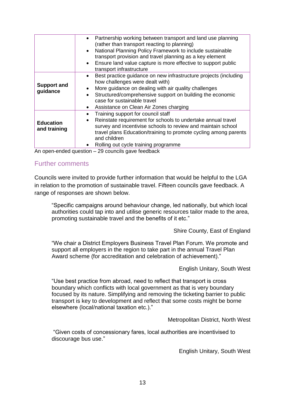|                                  | Partnership working between transport and land use planning<br>$\bullet$<br>(rather than transport reacting to planning)<br>National Planning Policy Framework to include sustainable<br>$\bullet$<br>transport provision and travel planning as a key element<br>Ensure land value capture is more effective to support public<br>$\bullet$<br>transport infrastructure |
|----------------------------------|--------------------------------------------------------------------------------------------------------------------------------------------------------------------------------------------------------------------------------------------------------------------------------------------------------------------------------------------------------------------------|
| <b>Support and</b><br>guidance   | Best practice guidance on new infrastructure projects (including<br>$\bullet$<br>how challenges were dealt with)<br>More guidance on dealing with air quality challenges<br>Structured/comprehensive support on building the economic<br>case for sustainable travel<br>Assistance on Clean Air Zones charging<br>$\bullet$                                              |
| <b>Education</b><br>and training | Training support for council staff<br>Reinstate requirement for schools to undertake annual travel<br>$\bullet$<br>survey and incentivise schools to review and maintain school<br>travel plans Education/training to promote cycling among parents<br>and children<br>Rolling out cycle training programme                                                              |

<span id="page-15-0"></span>An open-ended question – 29 councils gave feedback

#### Further comments

Councils were invited to provide further information that would be helpful to the LGA in relation to the promotion of sustainable travel. Fifteen councils gave feedback. A range of responses are shown below.

"Specific campaigns around behaviour change, led nationally, but which local authorities could tap into and utilise generic resources tailor made to the area, promoting sustainable travel and the benefits of it etc."

Shire County, East of England

"We chair a District Employers Business Travel Plan Forum. We promote and support all employers in the region to take part in the annual Travel Plan Award scheme (for accreditation and celebration of achievement)."

English Unitary, South West

"Use best practice from abroad, need to reflect that transport is cross boundary which conflicts with local government as that is very boundary focused by its nature. Simplifying and removing the ticketing barrier to public transport is key to development and reflect that some costs might be borne elsewhere (local/national taxation etc.)."

Metropolitan District, North West

"Given costs of concessionary fares, local authorities are incentivised to discourage bus use."

English Unitary, South West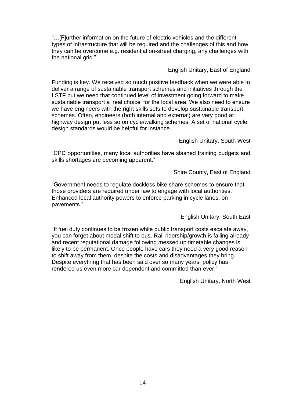"…[F]urther information on the future of electric vehicles and the different types of infrastructure that will be required and the challenges of this and how they can be overcome e.g. residential on-street charging, any challenges with the national grid."

English Unitary, East of England

Funding is key. We received so much positive feedback when we were able to deliver a range of sustainable transport schemes and initiatives through the LSTF but we need that continued level of investment going forward to make sustainable transport a 'real choice' for the local area. We also need to ensure we have engineers with the right skills sets to develop sustainable transport schemes. Often, engineers (both internal and external) are very good at highway design put less so on cycle/walking schemes. A set of national cycle design standards would be helpful for instance.

English Unitary, South West

"CPD opportunities, many local authorities have slashed training budgets and skills shortages are becoming apparent."

Shire County, East of England

"Government needs to regulate dockless bike share schemes to ensure that those providers are required under law to engage with local authorities. Enhanced local authority powers to enforce parking in cycle lanes, on pavements."

English Unitary, South East

"If fuel duty continues to be frozen while public transport costs escalate away, you can forget about modal shift to bus. Rail ridership/growth is falling already and recent reputational damage following messed up timetable changes is likely to be permanent. Once people have cars they need a very good reason to shift away from them, despite the costs and disadvantages they bring. Despite everything that has been said over so many years, policy has rendered us even more car dependent and committed than ever."

English Unitary, North West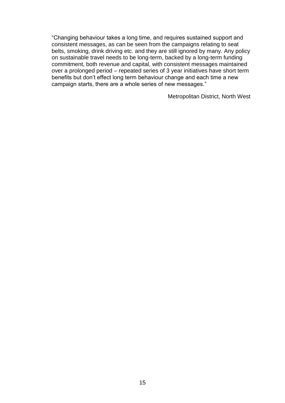"Changing behaviour takes a long time, and requires sustained support and consistent messages, as can be seen from the campaigns relating to seat belts, smoking, drink driving etc. and they are still ignored by many. Any policy on sustainable travel needs to be long-term, backed by a long-term funding commitment, both revenue and capital, with consistent messages maintained over a prolonged period – repeated series of 3 year initiatives have short term benefits but don't effect long term behaviour change and each time a new campaign starts, there are a whole series of new messages."

Metropolitan District, North West